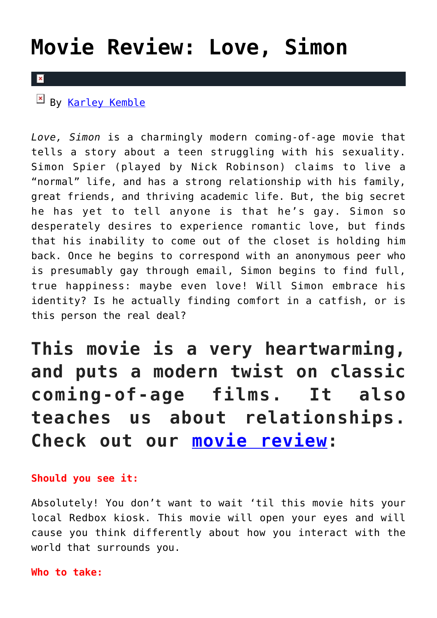# **[Movie Review: Love, Simon](https://cupidspulse.com/122938/movie-review-love-simon/)**

### $\mathbf{x}$

By [Karley Kemble](http://cupidspulse.com/121255/karley-kemble/)

*Love, Simon* is a charmingly modern coming-of-age movie that tells a story about a teen struggling with his sexuality. Simon Spier (played by Nick Robinson) claims to live a "normal" life, and has a strong relationship with his family, great friends, and thriving academic life. But, the big secret he has yet to tell anyone is that he's gay. Simon so desperately desires to experience romantic love, but finds that his inability to come out of the closet is holding him back. Once he begins to correspond with an anonymous peer who is presumably gay through email, Simon begins to find full, true happiness: maybe even love! Will Simon embrace his identity? Is he actually finding comfort in a catfish, or is this person the real deal?

**This movie is a very heartwarming, and puts a modern twist on classic coming-of-age films. It also teaches us about relationships. Check out our [movie review](http://cupidspulse.com/love/movies/):**

## **Should you see it:**

Absolutely! You don't want to wait 'til this movie hits your local Redbox kiosk. This movie will open your eyes and will cause you think differently about how you interact with the world that surrounds you.

### **Who to take:**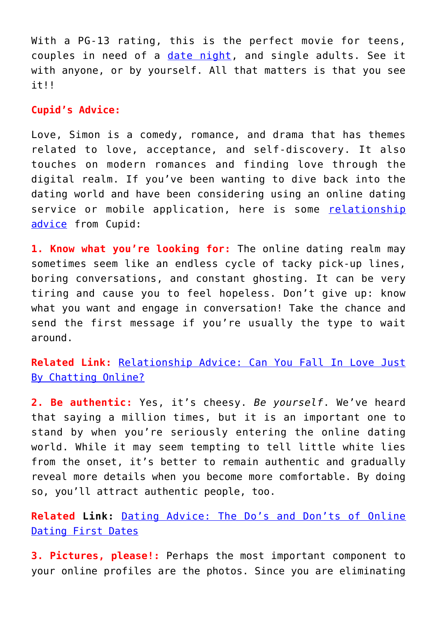With a PG-13 rating, this is the perfect movie for teens, couples in need of a [date night,](http://cupidspulse.com/dating/date-ideas/) and single adults. See it with anyone, or by yourself. All that matters is that you see it!!

## **Cupid's Advice:**

Love, Simon is a comedy, romance, and drama that has themes related to love, acceptance, and self-discovery. It also touches on modern romances and finding love through the digital realm. If you've been wanting to dive back into the dating world and have been considering using an online dating service or mobile application, here is some [relationship](http://cupidspulse.com/love/relationship-advice-articles/) [advice](http://cupidspulse.com/love/relationship-advice-articles/) from Cupid:

**1. Know what you're looking for:** The online dating realm may sometimes seem like an endless cycle of tacky pick-up lines, boring conversations, and constant ghosting. It can be very tiring and cause you to feel hopeless. Don't give up: know what you want and engage in conversation! Take the chance and send the first message if you're usually the type to wait around.

**Related Link:** [Relationship Advice: Can You Fall In Love Just](http://cupidspulse.com/122625/relationship-advice-fall-love-chatting-online/) [By Chatting Online?](http://cupidspulse.com/122625/relationship-advice-fall-love-chatting-online/)

**2. Be authentic:** Yes, it's cheesy. *Be yourself*. We've heard that saying a million times, but it is an important one to stand by when you're seriously entering the online dating world. While it may seem tempting to tell little white lies from the onset, it's better to remain authentic and gradually reveal more details when you become more comfortable. By doing so, you'll attract authentic people, too.

**Related Link:** [Dating Advice: The Do's and Don'ts of Online](http://cupidspulse.com/120483/dating-advice-dos-and-donts-online/) [Dating First Dates](http://cupidspulse.com/120483/dating-advice-dos-and-donts-online/)

**3. Pictures, please!:** Perhaps the most important component to your online profiles are the photos. Since you are eliminating